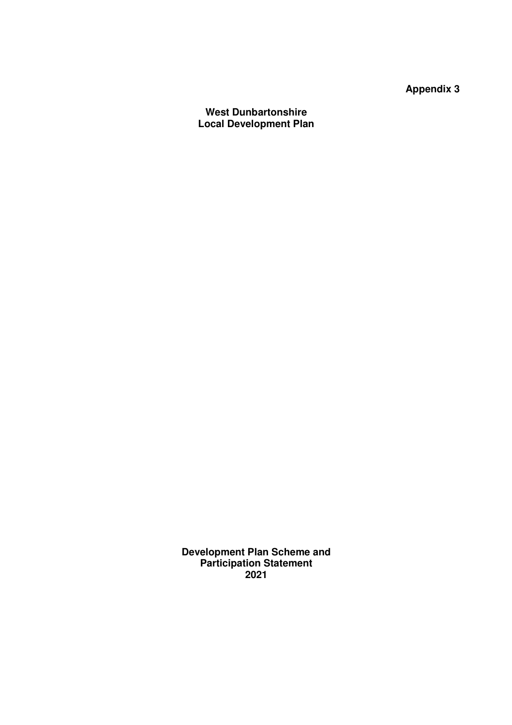**Appendix 3** 

**West Dunbartonshire Local Development Plan** 

**Development Plan Scheme and Participation Statement 2021**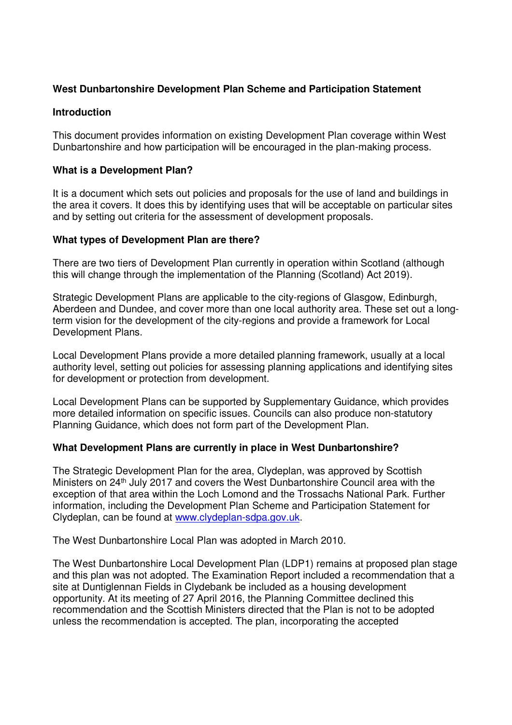### **West Dunbartonshire Development Plan Scheme and Participation Statement**

#### **Introduction**

This document provides information on existing Development Plan coverage within West Dunbartonshire and how participation will be encouraged in the plan-making process.

### **What is a Development Plan?**

It is a document which sets out policies and proposals for the use of land and buildings in the area it covers. It does this by identifying uses that will be acceptable on particular sites and by setting out criteria for the assessment of development proposals.

### **What types of Development Plan are there?**

There are two tiers of Development Plan currently in operation within Scotland (although this will change through the implementation of the Planning (Scotland) Act 2019).

Strategic Development Plans are applicable to the city-regions of Glasgow, Edinburgh, Aberdeen and Dundee, and cover more than one local authority area. These set out a longterm vision for the development of the city-regions and provide a framework for Local Development Plans.

Local Development Plans provide a more detailed planning framework, usually at a local authority level, setting out policies for assessing planning applications and identifying sites for development or protection from development.

Local Development Plans can be supported by Supplementary Guidance, which provides more detailed information on specific issues. Councils can also produce non-statutory Planning Guidance, which does not form part of the Development Plan.

#### **What Development Plans are currently in place in West Dunbartonshire?**

The Strategic Development Plan for the area, Clydeplan, was approved by Scottish Ministers on 24<sup>th</sup> July 2017 and covers the West Dunbartonshire Council area with the exception of that area within the Loch Lomond and the Trossachs National Park. Further information, including the Development Plan Scheme and Participation Statement for Clydeplan, can be found at www.clydeplan-sdpa.gov.uk.

The West Dunbartonshire Local Plan was adopted in March 2010.

The West Dunbartonshire Local Development Plan (LDP1) remains at proposed plan stage and this plan was not adopted. The Examination Report included a recommendation that a site at Duntiglennan Fields in Clydebank be included as a housing development opportunity. At its meeting of 27 April 2016, the Planning Committee declined this recommendation and the Scottish Ministers directed that the Plan is not to be adopted unless the recommendation is accepted. The plan, incorporating the accepted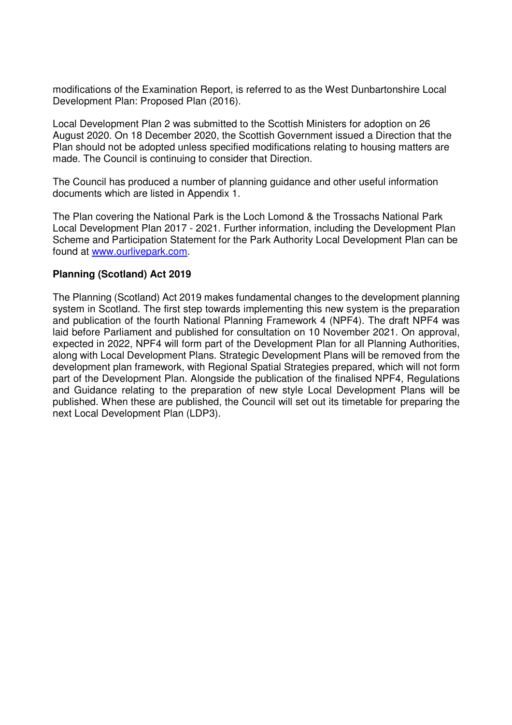modifications of the Examination Report, is referred to as the West Dunbartonshire Local Development Plan: Proposed Plan (2016).

Local Development Plan 2 was submitted to the Scottish Ministers for adoption on 26 August 2020. On 18 December 2020, the Scottish Government issued a Direction that the Plan should not be adopted unless specified modifications relating to housing matters are made. The Council is continuing to consider that Direction.

The Council has produced a number of planning guidance and other useful information documents which are listed in Appendix 1.

The Plan covering the National Park is the Loch Lomond & the Trossachs National Park Local Development Plan 2017 - 2021. Further information, including the Development Plan Scheme and Participation Statement for the Park Authority Local Development Plan can be found at www.ourlivepark.com.

#### **Planning (Scotland) Act 2019**

The Planning (Scotland) Act 2019 makes fundamental changes to the development planning system in Scotland. The first step towards implementing this new system is the preparation and publication of the fourth National Planning Framework 4 (NPF4). The draft NPF4 was laid before Parliament and published for consultation on 10 November 2021. On approval, expected in 2022, NPF4 will form part of the Development Plan for all Planning Authorities, along with Local Development Plans. Strategic Development Plans will be removed from the development plan framework, with Regional Spatial Strategies prepared, which will not form part of the Development Plan. Alongside the publication of the finalised NPF4, Regulations and Guidance relating to the preparation of new style Local Development Plans will be published. When these are published, the Council will set out its timetable for preparing the next Local Development Plan (LDP3).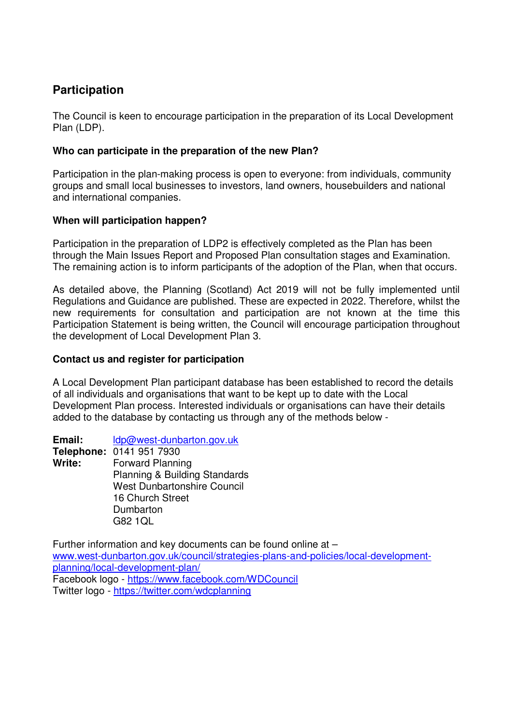# **Participation**

The Council is keen to encourage participation in the preparation of its Local Development Plan (LDP).

## **Who can participate in the preparation of the new Plan?**

Participation in the plan-making process is open to everyone: from individuals, community groups and small local businesses to investors, land owners, housebuilders and national and international companies.

## **When will participation happen?**

Participation in the preparation of LDP2 is effectively completed as the Plan has been through the Main Issues Report and Proposed Plan consultation stages and Examination. The remaining action is to inform participants of the adoption of the Plan, when that occurs.

As detailed above, the Planning (Scotland) Act 2019 will not be fully implemented until Regulations and Guidance are published. These are expected in 2022. Therefore, whilst the new requirements for consultation and participation are not known at the time this Participation Statement is being written, the Council will encourage participation throughout the development of Local Development Plan 3.

# **Contact us and register for participation**

A Local Development Plan participant database has been established to record the details of all individuals and organisations that want to be kept up to date with the Local Development Plan process. Interested individuals or organisations can have their details added to the database by contacting us through any of the methods below -

**Email:** ldp@west-dunbarton.gov.uk **Telephone:** 0141 951 7930 **Write:** Forward Planning Planning & Building Standards West Dunbartonshire Council 16 Church Street Dumbarton

G82 1QL

Further information and key documents can be found online at – www.west-dunbarton.gov.uk/council/strategies-plans-and-policies/local-developmentplanning/local-development-plan/ Facebook logo - https://www.facebook.com/WDCouncil Twitter logo - https://twitter.com/wdcplanning